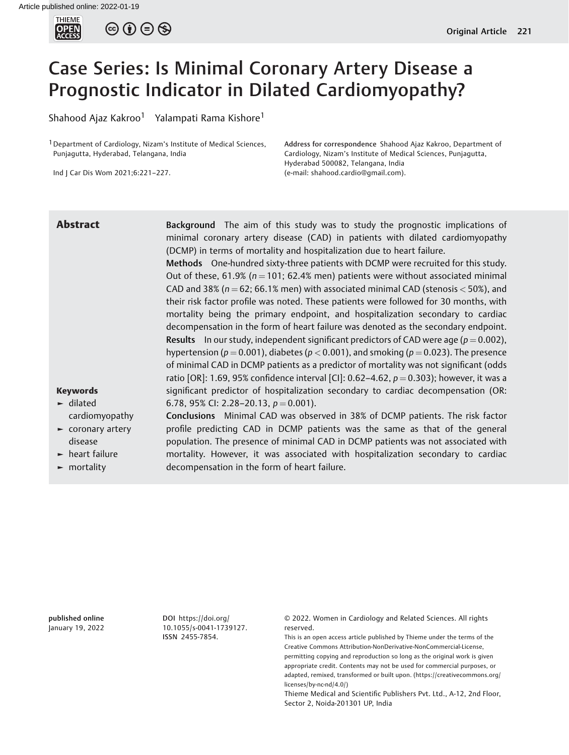

# Case Series: Is Minimal Coronary Artery Disease a Prognostic Indicator in Dilated Cardiomyopathy?

Shahood Ajaz Kakroo<sup>1</sup> Yalampati Rama Kishore<sup>1</sup>

<sup>1</sup> Department of Cardiology, Nizam's Institute of Medical Sciences, Punjagutta, Hyderabad, Telangana, India

Ind J Car Dis Wom 2021;6:221–227.

Address for correspondence Shahood Ajaz Kakroo, Department of Cardiology, Nizam's Institute of Medical Sciences, Punjagutta, Hyderabad 500082, Telangana, India (e-mail: [shahood.cardio@gmail.com\)](mailto:shahood.cardio@gmail.com).

## Keywords ► dilated cardiomyopathy ► coronary artery disease ► heart failure ► mortality **Abstract** Background The aim of this study was to study the prognostic implications of minimal coronary artery disease (CAD) in patients with dilated cardiomyopathy (DCMP) in terms of mortality and hospitalization due to heart failure. Methods One-hundred sixty-three patients with DCMP were recruited for this study. Out of these, 61.9% ( $n = 101$ ; 62.4% men) patients were without associated minimal CAD and 38% ( $n = 62$ ; 66.1% men) with associated minimal CAD (stenosis  $<$  50%), and their risk factor profile was noted. These patients were followed for 30 months, with mortality being the primary endpoint, and hospitalization secondary to cardiac decompensation in the form of heart failure was denoted as the secondary endpoint. **Results** In our study, independent significant predictors of CAD were age ( $p = 0.002$ ), hypertension ( $p = 0.001$ ), diabetes ( $p < 0.001$ ), and smoking ( $p = 0.023$ ). The presence of minimal CAD in DCMP patients as a predictor of mortality was not significant (odds ratio [OR]: 1.69, 95% confidence interval [CI]: 0.62-4.62,  $p = 0.303$ ); however, it was a significant predictor of hospitalization secondary to cardiac decompensation (OR: 6.78, 95% CI: 2.28–20.13,  $p = 0.001$ ). Conclusions Minimal CAD was observed in 38% of DCMP patients. The risk factor profile predicting CAD in DCMP patients was the same as that of the general population. The presence of minimal CAD in DCMP patients was not associated with mortality. However, it was associated with hospitalization secondary to cardiac decompensation in the form of heart failure.

published online January 19, 2022 DOI [https://doi.org/](https://doi.org/10.1055/s-0041-1739127) [10.1055/s-0041-1739127](https://doi.org/10.1055/s-0041-1739127). ISSN 2455-7854.

© 2022. Women in Cardiology and Related Sciences. All rights reserved.

This is an open access article published by Thieme under the terms of the Creative Commons Attribution-NonDerivative-NonCommercial-License, permitting copying and reproduction so long as the original work is given appropriate credit. Contents may not be used for commercial purposes, or adapted, remixed, transformed or built upon. (https://creativecommons.org/ licenses/by-nc-nd/4.0/)

Thieme Medical and Scientific Publishers Pvt. Ltd., A-12, 2nd Floor, Sector 2, Noida-201301 UP, India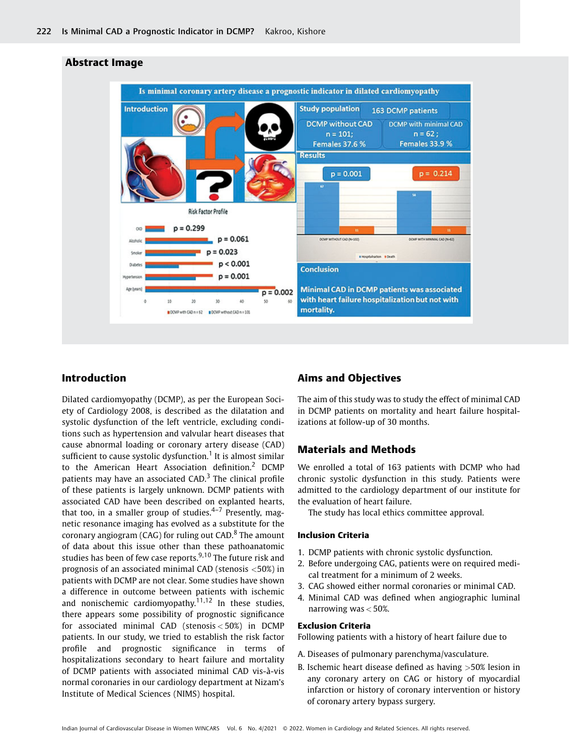

# Abstract Image

# Introduction

Dilated cardiomyopathy (DCMP), as per the European Society of Cardiology 2008, is described as the dilatation and systolic dysfunction of the left ventricle, excluding conditions such as hypertension and valvular heart diseases that cause abnormal loading or coronary artery disease (CAD) sufficient to cause systolic dysfunction.<sup>1</sup> It is almost similar to the American Heart Association definition.<sup>2</sup> DCMP patients may have an associated  $CAD$ <sup>3</sup>. The clinical profile of these patients is largely unknown. DCMP patients with associated CAD have been described on explanted hearts, that too, in a smaller group of studies. $4-7$  Presently, magnetic resonance imaging has evolved as a substitute for the coronary angiogram (CAG) for ruling out CAD.<sup>8</sup> The amount of data about this issue other than these pathoanatomic studies has been of few case reports.<sup>9,10</sup> The future risk and prognosis of an associated minimal CAD (stenosis <50%) in patients with DCMP are not clear. Some studies have shown a difference in outcome between patients with ischemic and nonischemic cardiomyopathy.<sup>11,12</sup> In these studies, there appears some possibility of prognostic significance for associated minimal CAD (stenosis < 50%) in DCMP patients. In our study, we tried to establish the risk factor profile and prognostic significance in terms of hospitalizations secondary to heart failure and mortality of DCMP patients with associated minimal CAD vis-à-vis normal coronaries in our cardiology department at Nizam's Institute of Medical Sciences (NIMS) hospital.

# Aims and Objectives

The aim of this study was to study the effect of minimal CAD in DCMP patients on mortality and heart failure hospitalizations at follow-up of 30 months.

# Materials and Methods

We enrolled a total of 163 patients with DCMP who had chronic systolic dysfunction in this study. Patients were admitted to the cardiology department of our institute for the evaluation of heart failure.

The study has local ethics committee approval.

## Inclusion Criteria

- 1. DCMP patients with chronic systolic dysfunction.
- 2. Before undergoing CAG, patients were on required medical treatment for a minimum of 2 weeks.
- 3. CAG showed either normal coronaries or minimal CAD.
- 4. Minimal CAD was defined when angiographic luminal narrowing was  $< 50\%$ .

## Exclusion Criteria

Following patients with a history of heart failure due to

- A. Diseases of pulmonary parenchyma/vasculature.
- B. Ischemic heart disease defined as having >50% lesion in any coronary artery on CAG or history of myocardial infarction or history of coronary intervention or history of coronary artery bypass surgery.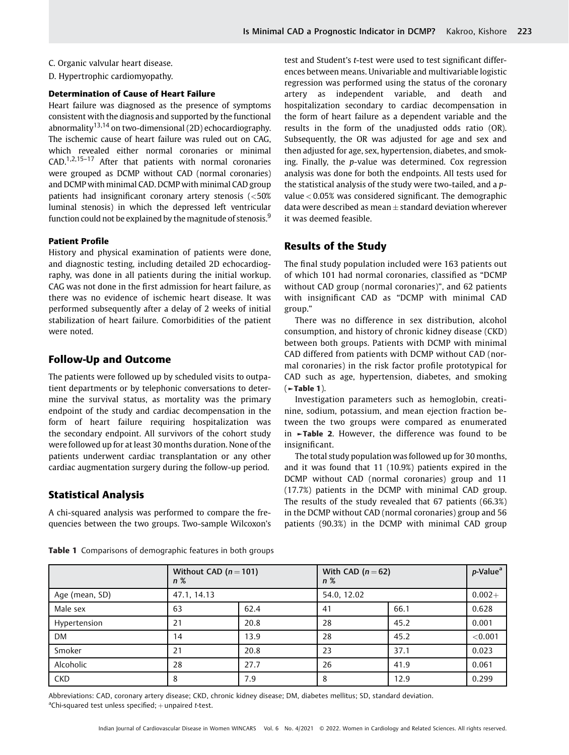## C. Organic valvular heart disease.

D. Hypertrophic cardiomyopathy.

## Determination of Cause of Heart Failure

Heart failure was diagnosed as the presence of symptoms consistent with the diagnosis and supported by the functional abnormality<sup>13,14</sup> on two-dimensional (2D) echocardiography. The ischemic cause of heart failure was ruled out on CAG, which revealed either normal coronaries or minimal CAD.1,2,15–<sup>17</sup> After that patients with normal coronaries were grouped as DCMP without CAD (normal coronaries) and DCMP with minimal CAD. DCMP with minimal CAD group patients had insignificant coronary artery stenosis (<50% luminal stenosis) in which the depressed left ventricular function could not be explained by the magnitude of stenosis.<sup>9</sup>

#### Patient Profile

History and physical examination of patients were done, and diagnostic testing, including detailed 2D echocardiography, was done in all patients during the initial workup. CAG was not done in the first admission for heart failure, as there was no evidence of ischemic heart disease. It was performed subsequently after a delay of 2 weeks of initial stabilization of heart failure. Comorbidities of the patient were noted.

# Follow-Up and Outcome

The patients were followed up by scheduled visits to outpatient departments or by telephonic conversations to determine the survival status, as mortality was the primary endpoint of the study and cardiac decompensation in the form of heart failure requiring hospitalization was the secondary endpoint. All survivors of the cohort study were followed up for at least 30 months duration. None of the patients underwent cardiac transplantation or any other cardiac augmentation surgery during the follow-up period.

## Statistical Analysis

A chi-squared analysis was performed to compare the frequencies between the two groups. Two-sample Wilcoxon's test and Student's t-test were used to test significant differences between means. Univariable and multivariable logistic regression was performed using the status of the coronary artery as independent variable, and death and hospitalization secondary to cardiac decompensation in the form of heart failure as a dependent variable and the results in the form of the unadjusted odds ratio (OR). Subsequently, the OR was adjusted for age and sex and then adjusted for age, sex, hypertension, diabetes, and smoking. Finally, the p-value was determined. Cox regression analysis was done for both the endpoints. All tests used for the statistical analysis of the study were two-tailed, and a pvalue < 0.05% was considered significant. The demographic data were described as mean  $\pm$  standard deviation wherever it was deemed feasible.

# Results of the Study

The final study population included were 163 patients out of which 101 had normal coronaries, classified as "DCMP without CAD group (normal coronaries)", and 62 patients with insignificant CAD as "DCMP with minimal CAD group."

There was no difference in sex distribution, alcohol consumption, and history of chronic kidney disease (CKD) between both groups. Patients with DCMP with minimal CAD differed from patients with DCMP without CAD (normal coronaries) in the risk factor profile prototypical for CAD such as age, hypertension, diabetes, and smoking (►Table 1).

Investigation parameters such as hemoglobin, creatinine, sodium, potassium, and mean ejection fraction between the two groups were compared as enumerated in ►Table 2. However, the difference was found to be insignificant.

The total study population was followed up for 30 months, and it was found that 11 (10.9%) patients expired in the DCMP without CAD (normal coronaries) group and 11 (17.7%) patients in the DCMP with minimal CAD group. The results of the study revealed that 67 patients (66.3%) in the DCMP without CAD (normal coronaries) group and 56 patients (90.3%) in the DCMP with minimal CAD group

|                | Without CAD $(n = 101)$<br>$n\%$ |      | With CAD $(n=62)$<br>$n\%$ |      | $p$ -Value <sup>a</sup> |
|----------------|----------------------------------|------|----------------------------|------|-------------------------|
| Age (mean, SD) | 47.1, 14.13                      |      | 54.0, 12.02                |      | $0.002 +$               |
| Male sex       | 63                               | 62.4 | 41                         | 66.1 | 0.628                   |
| Hypertension   | 21                               | 20.8 | 28                         | 45.2 | 0.001                   |
| <b>DM</b>      | 14                               | 13.9 | 28                         | 45.2 | < 0.001                 |
| Smoker         | 21                               | 20.8 | 23                         | 37.1 | 0.023                   |
| Alcoholic      | 28                               | 27.7 | 26                         | 41.9 | 0.061                   |
| CKD            | 8                                | 7.9  | 8                          | 12.9 | 0.299                   |

**Table 1** Comparisons of demographic features in both groups

Abbreviations: CAD, coronary artery disease; CKD, chronic kidney disease; DM, diabetes mellitus; SD, standard deviation. <sup>a</sup>Chi-squared test unless specified;  $+$  unpaired t-test.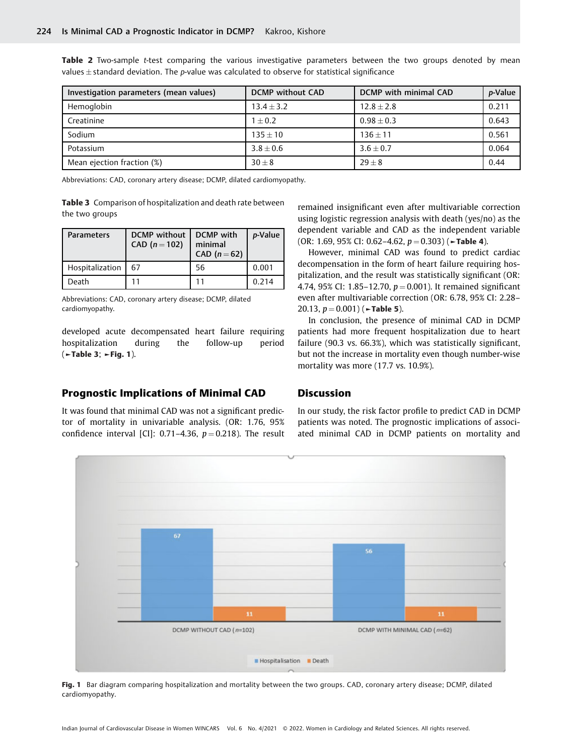Table 2 Two-sample t-test comparing the various investigative parameters between the two groups denoted by mean values $\pm$ standard deviation. The  $p$ -value was calculated to observe for statistical significance

| Investigation parameters (mean values) | <b>DCMP</b> without CAD | DCMP with minimal CAD | p-Value |
|----------------------------------------|-------------------------|-----------------------|---------|
| Hemoglobin                             | $13.4 + 3.2$            | $12.8 + 2.8$          | 0.211   |
| Creatinine                             | $1 + 0.2$               | $0.98 + 0.3$          | 0.643   |
| Sodium                                 | $135 + 10$              | $136 + 11$            | 0.561   |
| Potassium                              | $3.8 \pm 0.6$           | $3.6 + 0.7$           | 0.064   |
| Mean ejection fraction (%)             | $30 + 8$                | $29 + 8$              | 0.44    |

Abbreviations: CAD, coronary artery disease; DCMP, dilated cardiomyopathy.

Table 3 Comparison of hospitalization and death rate between the two groups

| <b>Parameters</b> | <b>DCMP</b> without<br>CAD $(n = 102)$ | DCMP with<br>minimal<br>CAD $(n=62)$ | p-Value |
|-------------------|----------------------------------------|--------------------------------------|---------|
| Hospitalization   | 67                                     | 56                                   | 0.001   |
| Death             |                                        | 11                                   | 0.214   |

Abbreviations: CAD, coronary artery disease; DCMP, dilated cardiomyopathy.

developed acute decompensated heart failure requiring hospitalization during the follow-up period (►Table 3; ►Fig. 1).

## Prognostic Implications of Minimal CAD

It was found that minimal CAD was not a significant predictor of mortality in univariable analysis. (OR: 1.76, 95% confidence interval [CI]: 0.71-4.36,  $p = 0.218$ ). The result remained insignificant even after multivariable correction using logistic regression analysis with death (yes/no) as the dependent variable and CAD as the independent variable (OR: 1.69, 95% CI: 0.62–4.62,  $p = 0.303$ ) ( $\blacktriangleright$ Table 4).

However, minimal CAD was found to predict cardiac decompensation in the form of heart failure requiring hospitalization, and the result was statistically significant (OR: 4.74, 95% CI: 1.85–12.70,  $p = 0.001$ ). It remained significant even after multivariable correction (OR: 6.78, 95% CI: 2.28– 20.13,  $p = 0.001$  ( $\blacktriangleright$ Table 5).

In conclusion, the presence of minimal CAD in DCMP patients had more frequent hospitalization due to heart failure (90.3 vs. 66.3%), which was statistically significant, but not the increase in mortality even though number-wise mortality was more (17.7 vs. 10.9%).

## Discussion

In our study, the risk factor profile to predict CAD in DCMP patients was noted. The prognostic implications of associated minimal CAD in DCMP patients on mortality and



Fig. 1 Bar diagram comparing hospitalization and mortality between the two groups. CAD, coronary artery disease; DCMP, dilated cardiomyopathy.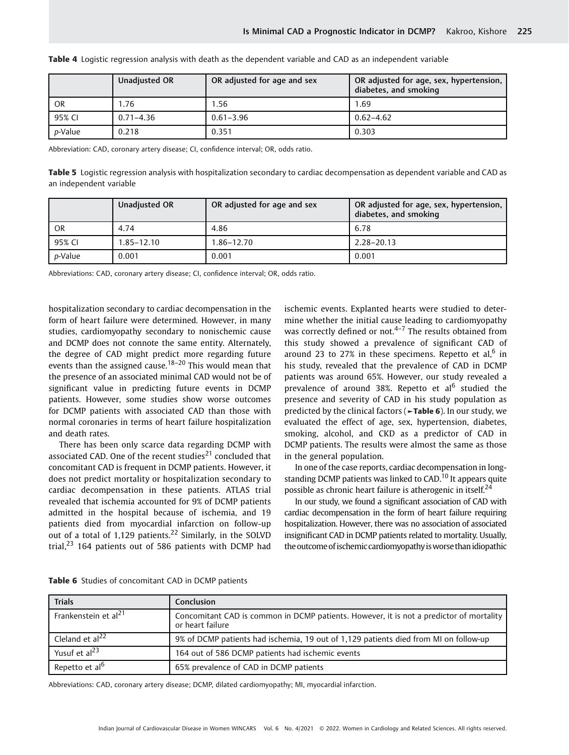|                 | Unadjusted OR | OR adjusted for age and sex | OR adjusted for age, sex, hypertension,<br>diabetes, and smoking |
|-----------------|---------------|-----------------------------|------------------------------------------------------------------|
| <b>OR</b>       | 1.76          | 1.56                        | 1.69                                                             |
| 95% CI          | $0.71 - 4.36$ | $0.61 - 3.96$               | $0.62 - 4.62$                                                    |
| <i>p</i> -Value | 0.218         | 0.351                       | 0.303                                                            |

Table 4 Logistic regression analysis with death as the dependent variable and CAD as an independent variable

Abbreviation: CAD, coronary artery disease; CI, confidence interval; OR, odds ratio.

Table 5 Logistic regression analysis with hospitalization secondary to cardiac decompensation as dependent variable and CAD as an independent variable

|                 | Unadjusted OR | OR adjusted for age and sex | OR adjusted for age, sex, hypertension,<br>diabetes, and smoking |
|-----------------|---------------|-----------------------------|------------------------------------------------------------------|
| <b>OR</b>       | 4.74          | 4.86                        | 6.78                                                             |
| 95% CI          | 1.85–12.10    | 1.86–12.70                  | $2.28 - 20.13$                                                   |
| <i>p</i> -Value | 0.001         | 0.001                       | 0.001                                                            |

Abbreviations: CAD, coronary artery disease; CI, confidence interval; OR, odds ratio.

hospitalization secondary to cardiac decompensation in the form of heart failure were determined. However, in many studies, cardiomyopathy secondary to nonischemic cause and DCMP does not connote the same entity. Alternately, the degree of CAD might predict more regarding future events than the assigned cause.<sup>18–20</sup> This would mean that the presence of an associated minimal CAD would not be of significant value in predicting future events in DCMP patients. However, some studies show worse outcomes for DCMP patients with associated CAD than those with normal coronaries in terms of heart failure hospitalization and death rates.

There has been only scarce data regarding DCMP with associated CAD. One of the recent studies $^{21}$  concluded that concomitant CAD is frequent in DCMP patients. However, it does not predict mortality or hospitalization secondary to cardiac decompensation in these patients. ATLAS trial revealed that ischemia accounted for 9% of DCMP patients admitted in the hospital because of ischemia, and 19 patients died from myocardial infarction on follow-up out of a total of 1,129 patients.<sup>22</sup> Similarly, in the SOLVD trial.<sup>23</sup> 164 patients out of 586 patients with DCMP had ischemic events. Explanted hearts were studied to determine whether the initial cause leading to cardiomyopathy was correctly defined or not. $4-7$  The results obtained from this study showed a prevalence of significant CAD of around 23 to 27% in these specimens. Repetto et al, $<sup>6</sup>$  in</sup> his study, revealed that the prevalence of CAD in DCMP patients was around 65%. However, our study revealed a prevalence of around 38%. Repetto et  $al<sup>6</sup>$  studied the presence and severity of CAD in his study population as predicted by the clinical factors (►Table 6). In our study, we evaluated the effect of age, sex, hypertension, diabetes, smoking, alcohol, and CKD as a predictor of CAD in DCMP patients. The results were almost the same as those in the general population.

In one of the case reports, cardiac decompensation in longstanding DCMP patients was linked to CAD.<sup>10</sup> It appears quite possible as chronic heart failure is atherogenic in itself.<sup>24</sup>

In our study, we found a significant association of CAD with cardiac decompensation in the form of heart failure requiring hospitalization. However, there was no association of associated insignificant CAD in DCMP patients related to mortality. Usually, the outcome of ischemic cardiomyopathy is worse than idiopathic

| Trials                           | <b>Conclusion</b>                                                                                           |
|----------------------------------|-------------------------------------------------------------------------------------------------------------|
| Frankenstein et al <sup>21</sup> | Concomitant CAD is common in DCMP patients. However, it is not a predictor of mortality<br>or heart failure |
| Cleland et al <sup>22</sup>      | 9% of DCMP patients had ischemia, 19 out of 1,129 patients died from MI on follow-up                        |
| Yusuf et al <sup>23</sup>        | 164 out of 586 DCMP patients had ischemic events                                                            |
| Repetto et al <sup>6</sup>       | 65% prevalence of CAD in DCMP patients                                                                      |

Table 6 Studies of concomitant CAD in DCMP patients

Abbreviations: CAD, coronary artery disease; DCMP, dilated cardiomyopathy; MI, myocardial infarction.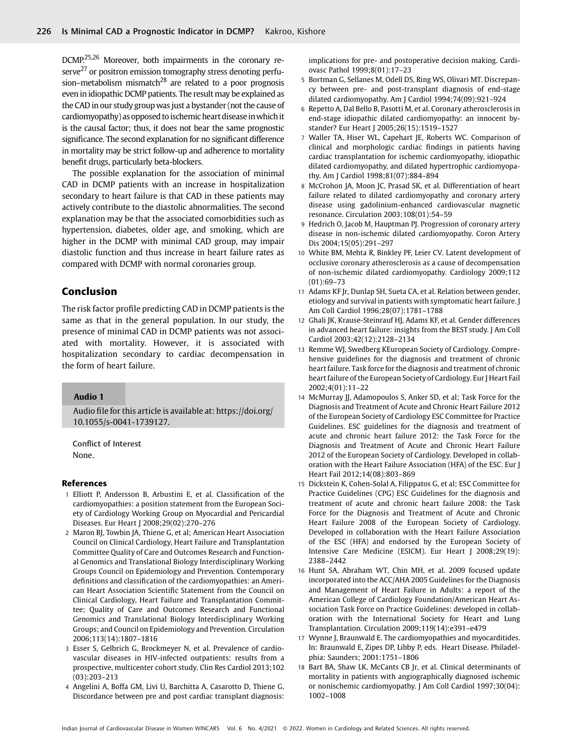DCMP.25,26 Moreover, both impairments in the coronary reserve<sup>27</sup> or positron emission tomography stress denoting perfusion–metabolism mismatch<sup>28</sup> are related to a poor prognosis even in idiopathic DCMP patients. The result may be explained as the CAD in our study group was just a bystander (not the cause of cardiomyopathy) as opposed to ischemic heart disease in which it is the causal factor; thus, it does not bear the same prognostic significance. The second explanation for no significant difference in mortality may be strict follow-up and adherence to mortality benefit drugs, particularly beta-blockers.

The possible explanation for the association of minimal CAD in DCMP patients with an increase in hospitalization secondary to heart failure is that CAD in these patients may actively contribute to the diastolic abnormalities. The second explanation may be that the associated comorbidities such as hypertension, diabetes, older age, and smoking, which are higher in the DCMP with minimal CAD group, may impair diastolic function and thus increase in heart failure rates as compared with DCMP with normal coronaries group.

# Conclusion

The risk factor profile predicting CAD in DCMP patients is the same as that in the general population. In our study, the presence of minimal CAD in DCMP patients was not associated with mortality. However, it is associated with hospitalization secondary to cardiac decompensation in the form of heart failure.

## Audio 1

Audio file for this article is available at: [https://doi.org/](https://doi.org/10.1055/s-0041-1739127) [10.1055/s-0041-1739127](https://doi.org/10.1055/s-0041-1739127).

Conflict of Interest None.

#### References

- 1 Elliott P, Andersson B, Arbustini E, et al. Classification of the cardiomyopathies: a position statement from the European Society of Cardiology Working Group on Myocardial and Pericardial Diseases. Eur Heart J 2008;29(02):270–276
- 2 Maron BJ, Towbin JA, Thiene G, et al; American Heart Association Council on Clinical Cardiology, Heart Failure and Transplantation Committee Quality of Care and Outcomes Research and Functional Genomics and Translational Biology Interdisciplinary Working Groups Council on Epidemiology and Prevention. Contemporary definitions and classification of the cardiomyopathies: an American Heart Association Scientific Statement from the Council on Clinical Cardiology, Heart Failure and Transplantation Committee; Quality of Care and Outcomes Research and Functional Genomics and Translational Biology Interdisciplinary Working Groups; and Council on Epidemiology and Prevention. Circulation 2006;113(14):1807–1816
- 3 Esser S, Gelbrich G, Brockmeyer N, et al. Prevalence of cardiovascular diseases in HIV-infected outpatients: results from a prospective, multicenter cohort study. Clin Res Cardiol 2013;102 (03):203–213
- 4 Angelini A, Boffa GM, Livi U, Barchitta A, Casarotto D, Thiene G. Discordance between pre and post cardiac transplant diagnosis:

implications for pre- and postoperative decision making. Cardiovasc Pathol 1999;8(01):17–23

- 5 Bortman G, Sellanes M, Odell DS, Ring WS, Olivari MT. Discrepancy between pre- and post-transplant diagnosis of end-stage dilated cardiomyopathy. Am J Cardiol 1994;74(09):921–924
- 6 Repetto A, Dal Bello B, Pasotti M, et al. Coronary atherosclerosis in end-stage idiopathic dilated cardiomyopathy: an innocent bystander? Eur Heart J 2005;26(15):1519–1527
- 7 Waller TA, Hiser WL, Capehart JE, Roberts WC. Comparison of clinical and morphologic cardiac findings in patients having cardiac transplantation for ischemic cardiomyopathy, idiopathic dilated cardiomyopathy, and dilated hypertrophic cardiomyopathy. Am J Cardiol 1998;81(07):884–894
- 8 McCrohon JA, Moon JC, Prasad SK, et al. Differentiation of heart failure related to dilated cardiomyopathy and coronary artery disease using gadolinium-enhanced cardiovascular magnetic resonance. Circulation 2003;108(01):54–59
- 9 Hedrich O, Jacob M, Hauptman PJ. Progression of coronary artery disease in non-ischemic dilated cardiomyopathy. Coron Artery Dis 2004;15(05):291–297
- 10 White BM, Mehta R, Binkley PF, Leier CV. Latent development of occlusive coronary atherosclerosis as a cause of decompensation of non-ischemic dilated cardiomyopathy. Cardiology 2009;112 (01):69–73
- 11 Adams KF Jr, Dunlap SH, Sueta CA, et al. Relation between gender, etiology and survival in patients with symptomatic heart failure. J Am Coll Cardiol 1996;28(07):1781–1788
- 12 Ghali JK, Krause-Steinrauf HJ, Adams KF, et al. Gender differences in advanced heart failure: insights from the BEST study. J Am Coll Cardiol 2003;42(12):2128–2134
- 13 Remme WJ, Swedberg KEuropean Society of Cardiology. Comprehensive guidelines for the diagnosis and treatment of chronic heart failure. Task force for the diagnosis and treatment of chronic heart failure of the European Society of Cardiology. Eur J Heart Fail 2002;4(01):11–22
- 14 McMurray JJ, Adamopoulos S, Anker SD, et al; Task Force for the Diagnosis and Treatment of Acute and Chronic Heart Failure 2012 of the European Society of Cardiology ESC Committee for Practice Guidelines. ESC guidelines for the diagnosis and treatment of acute and chronic heart failure 2012: the Task Force for the Diagnosis and Treatment of Acute and Chronic Heart Failure 2012 of the European Society of Cardiology. Developed in collaboration with the Heart Failure Association (HFA) of the ESC. Eur J Heart Fail 2012;14(08):803–869
- 15 Dickstein K, Cohen-Solal A, Filippatos G, et al; ESC Committee for Practice Guidelines (CPG) ESC Guidelines for the diagnosis and treatment of acute and chronic heart failure 2008: the Task Force for the Diagnosis and Treatment of Acute and Chronic Heart Failure 2008 of the European Society of Cardiology. Developed in collaboration with the Heart Failure Association of the ESC (HFA) and endorsed by the European Society of Intensive Care Medicine (ESICM). Eur Heart J 2008;29(19): 2388–2442
- 16 Hunt SA, Abraham WT, Chin MH, et al. 2009 focused update incorporated into the ACC/AHA 2005 Guidelines for the Diagnosis and Management of Heart Failure in Adults: a report of the American College of Cardiology Foundation/American Heart Association Task Force on Practice Guidelines: developed in collaboration with the International Society for Heart and Lung Transplantation. Circulation 2009;119(14):e391–e479
- 17 Wynne J, Braunwald E. The cardiomyopathies and myocarditides. In: Braunwald E, Zipes DP, Libby P, eds. Heart Disease. Philadelphia: Saunders; 2001:1751–1806
- 18 Bart BA, Shaw LK, McCants CB Jr, et al. Clinical determinants of mortality in patients with angiographically diagnosed ischemic or nonischemic cardiomyopathy. J Am Coll Cardiol 1997;30(04): 1002–1008